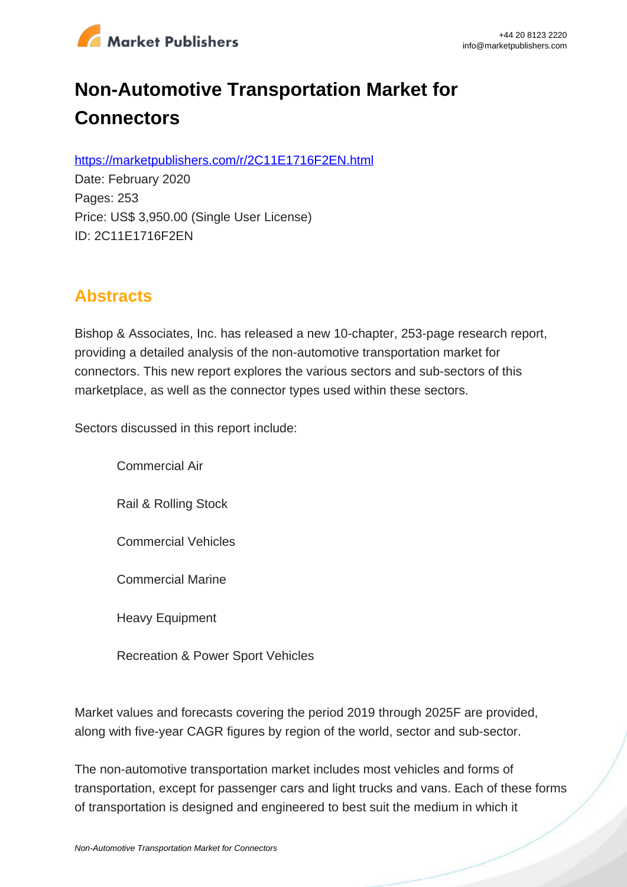

# **Non-Automotive Transportation Market for Connectors**

https://marketpublishers.com/r/2C11E1716F2EN.html

Date: February 2020 Pages: 253 Price: US\$ 3,950.00 (Single User License) ID: 2C11E1716F2EN

# **Abstracts**

Bishop & Associates, Inc. has released a new 10-chapter, 253-page research report, providing a detailed analysis of the non-automotive transportation market for connectors. This new report explores the various sectors and sub-sectors of this marketplace, as well as the connector types used within these sectors.

Sectors discussed in this report include:

Commercial Air

Rail & Rolling Stock

Commercial Vehicles

Commercial Marine

Heavy Equipment

Recreation & Power Sport Vehicles

Market values and forecasts covering the period 2019 through 2025F are provided, along with five-year CAGR figures by region of the world, sector and sub-sector.

The non-automotive transportation market includes most vehicles and forms of transportation, except for passenger cars and light trucks and vans. Each of these forms of transportation is designed and engineered to best suit the medium in which it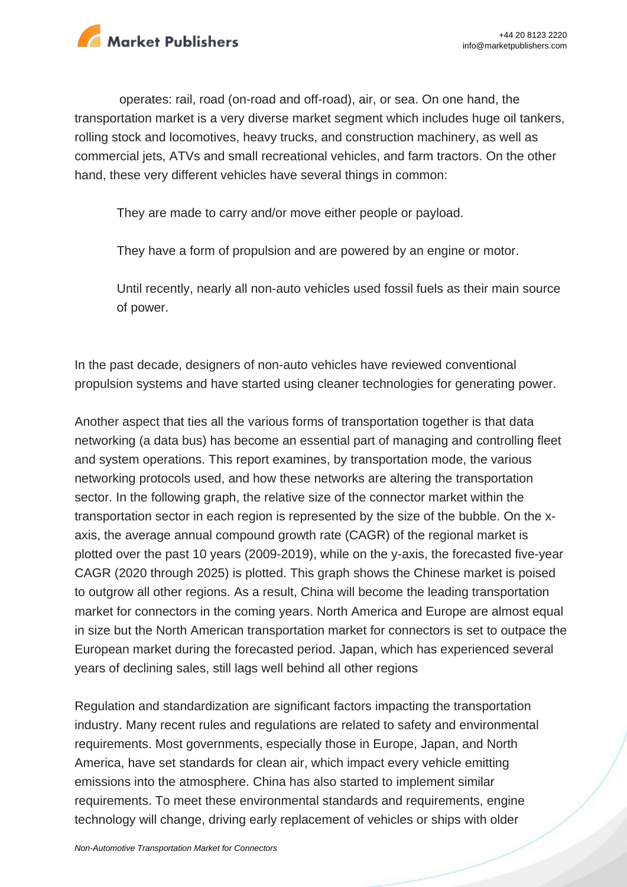

operates: rail, road (on-road and off-road), air, or sea. On one hand, the transportation market is a very diverse market segment which includes huge oil tankers, rolling stock and locomotives, heavy trucks, and construction machinery, as well as commercial jets, ATVs and small recreational vehicles, and farm tractors. On the other hand, these very different vehicles have several things in common:

They are made to carry and/or move either people or payload.

They have a form of propulsion and are powered by an engine or motor.

Until recently, nearly all non-auto vehicles used fossil fuels as their main source of power.

In the past decade, designers of non-auto vehicles have reviewed conventional propulsion systems and have started using cleaner technologies for generating power.

Another aspect that ties all the various forms of transportation together is that data networking (a data bus) has become an essential part of managing and controlling fleet and system operations. This report examines, by transportation mode, the various networking protocols used, and how these networks are altering the transportation sector. In the following graph, the relative size of the connector market within the transportation sector in each region is represented by the size of the bubble. On the xaxis, the average annual compound growth rate (CAGR) of the regional market is plotted over the past 10 years (2009-2019), while on the y-axis, the forecasted five-year CAGR (2020 through 2025) is plotted. This graph shows the Chinese market is poised to outgrow all other regions. As a result, China will become the leading transportation market for connectors in the coming years. North America and Europe are almost equal in size but the North American transportation market for connectors is set to outpace the European market during the forecasted period. Japan, which has experienced several years of declining sales, still lags well behind all other regions

Regulation and standardization are significant factors impacting the transportation industry. Many recent rules and regulations are related to safety and environmental requirements. Most governments, especially those in Europe, Japan, and North America, have set standards for clean air, which impact every vehicle emitting emissions into the atmosphere. China has also started to implement similar requirements. To meet these environmental standards and requirements, engine technology will change, driving early replacement of vehicles or ships with older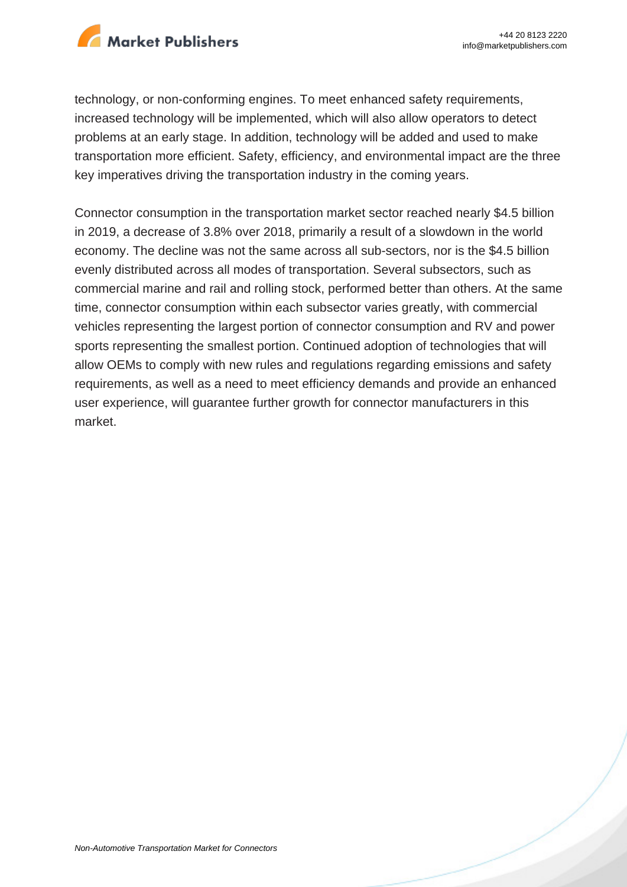

technology, or non-conforming engines. To meet enhanced safety requirements, increased technology will be implemented, which will also allow operators to detect problems at an early stage. In addition, technology will be added and used to make transportation more efficient. Safety, efficiency, and environmental impact are the three key imperatives driving the transportation industry in the coming years.

Connector consumption in the transportation market sector reached nearly \$4.5 billion in 2019, a decrease of 3.8% over 2018, primarily a result of a slowdown in the world economy. The decline was not the same across all sub-sectors, nor is the \$4.5 billion evenly distributed across all modes of transportation. Several subsectors, such as commercial marine and rail and rolling stock, performed better than others. At the same time, connector consumption within each subsector varies greatly, with commercial vehicles representing the largest portion of connector consumption and RV and power sports representing the smallest portion. Continued adoption of technologies that will allow OEMs to comply with new rules and regulations regarding emissions and safety requirements, as well as a need to meet efficiency demands and provide an enhanced user experience, will guarantee further growth for connector manufacturers in this market.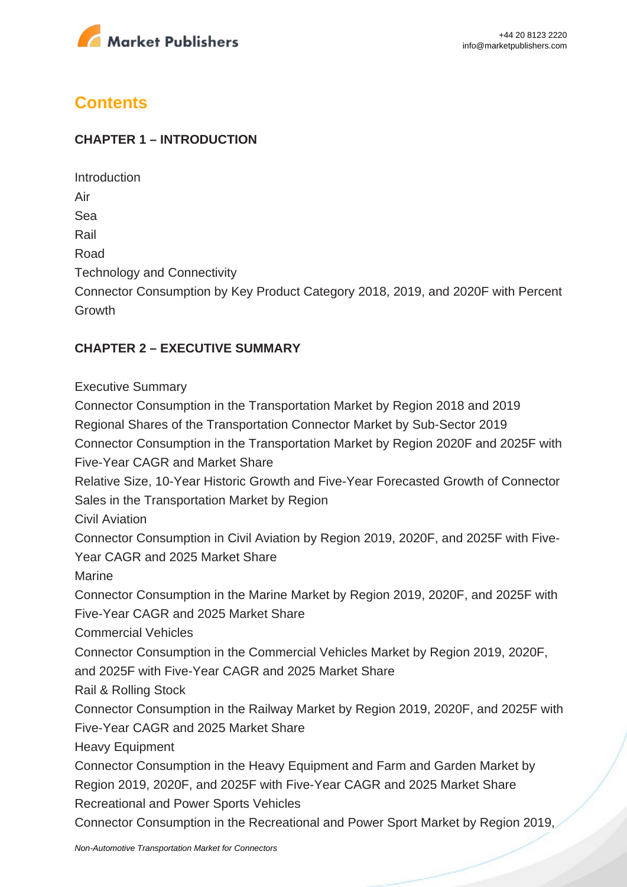

# **Contents**

#### **CHAPTER 1 – INTRODUCTION**

Introduction Air Sea Rail Road Technology and Connectivity Connector Consumption by Key Product Category 2018, 2019, and 2020F with Percent Growth

#### **CHAPTER 2 – EXECUTIVE SUMMARY**

Executive Summary

Connector Consumption in the Transportation Market by Region 2018 and 2019 Regional Shares of the Transportation Connector Market by Sub-Sector 2019 Connector Consumption in the Transportation Market by Region 2020F and 2025F with Five-Year CAGR and Market Share Relative Size, 10-Year Historic Growth and Five-Year Forecasted Growth of Connector Sales in the Transportation Market by Region Civil Aviation Connector Consumption in Civil Aviation by Region 2019, 2020F, and 2025F with Five-Year CAGR and 2025 Market Share Marine Connector Consumption in the Marine Market by Region 2019, 2020F, and 2025F with Five-Year CAGR and 2025 Market Share Commercial Vehicles Connector Consumption in the Commercial Vehicles Market by Region 2019, 2020F, and 2025F with Five-Year CAGR and 2025 Market Share Rail & Rolling Stock Connector Consumption in the Railway Market by Region 2019, 2020F, and 2025F with Five-Year CAGR and 2025 Market Share Heavy Equipment Connector Consumption in the Heavy Equipment and Farm and Garden Market by Region 2019, 2020F, and 2025F with Five-Year CAGR and 2025 Market Share Recreational and Power Sports Vehicles Connector Consumption in the Recreational and Power Sport Market by Region 2019,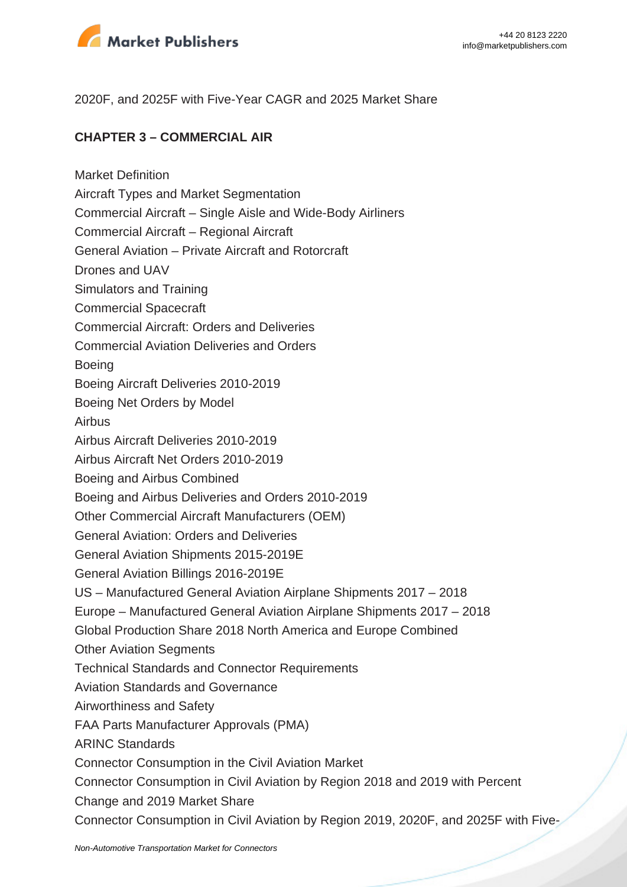

2020F, and 2025F with Five-Year CAGR and 2025 Market Share

#### **CHAPTER 3 – COMMERCIAL AIR**

Market Definition Aircraft Types and Market Segmentation Commercial Aircraft – Single Aisle and Wide-Body Airliners Commercial Aircraft – Regional Aircraft General Aviation – Private Aircraft and Rotorcraft Drones and UAV Simulators and Training Commercial Spacecraft Commercial Aircraft: Orders and Deliveries Commercial Aviation Deliveries and Orders Boeing Boeing Aircraft Deliveries 2010-2019 Boeing Net Orders by Model Airbus Airbus Aircraft Deliveries 2010-2019 Airbus Aircraft Net Orders 2010-2019 Boeing and Airbus Combined Boeing and Airbus Deliveries and Orders 2010-2019 Other Commercial Aircraft Manufacturers (OEM) General Aviation: Orders and Deliveries General Aviation Shipments 2015-2019E General Aviation Billings 2016-2019E US – Manufactured General Aviation Airplane Shipments 2017 – 2018 Europe – Manufactured General Aviation Airplane Shipments 2017 – 2018 Global Production Share 2018 North America and Europe Combined Other Aviation Segments Technical Standards and Connector Requirements Aviation Standards and Governance Airworthiness and Safety FAA Parts Manufacturer Approvals (PMA) ARINC Standards Connector Consumption in the Civil Aviation Market Connector Consumption in Civil Aviation by Region 2018 and 2019 with Percent Change and 2019 Market Share Connector Consumption in Civil Aviation by Region 2019, 2020F, and 2025F with Five-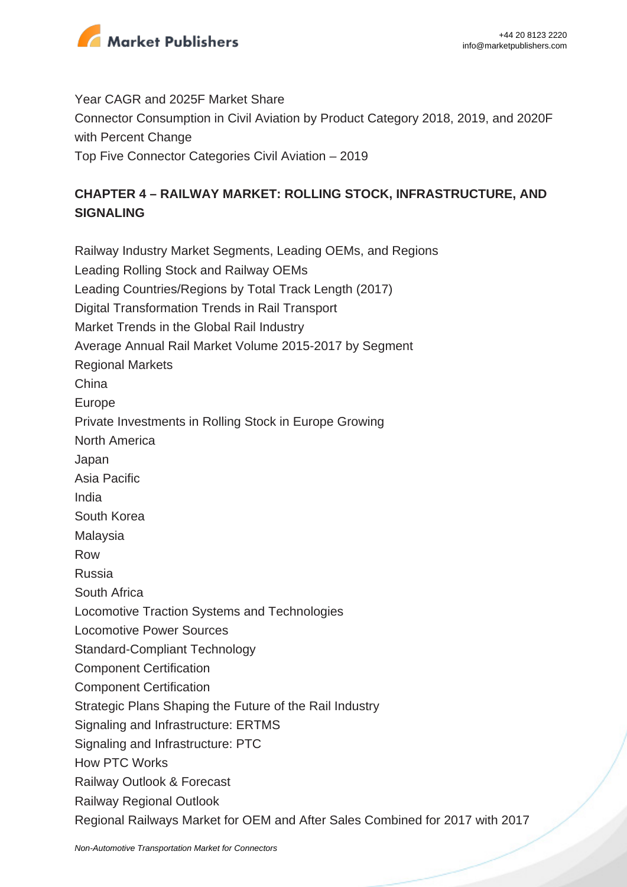

Year CAGR and 2025F Market Share Connector Consumption in Civil Aviation by Product Category 2018, 2019, and 2020F with Percent Change Top Five Connector Categories Civil Aviation – 2019

## **CHAPTER 4 – RAILWAY MARKET: ROLLING STOCK, INFRASTRUCTURE, AND SIGNALING**

Railway Industry Market Segments, Leading OEMs, and Regions Leading Rolling Stock and Railway OEMs Leading Countries/Regions by Total Track Length (2017) Digital Transformation Trends in Rail Transport Market Trends in the Global Rail Industry Average Annual Rail Market Volume 2015-2017 by Segment Regional Markets China Europe Private Investments in Rolling Stock in Europe Growing North America Japan Asia Pacific India South Korea Malaysia Row Russia South Africa Locomotive Traction Systems and Technologies Locomotive Power Sources Standard-Compliant Technology Component Certification Component Certification Strategic Plans Shaping the Future of the Rail Industry Signaling and Infrastructure: ERTMS Signaling and Infrastructure: PTC How PTC Works Railway Outlook & Forecast Railway Regional Outlook Regional Railways Market for OEM and After Sales Combined for 2017 with 2017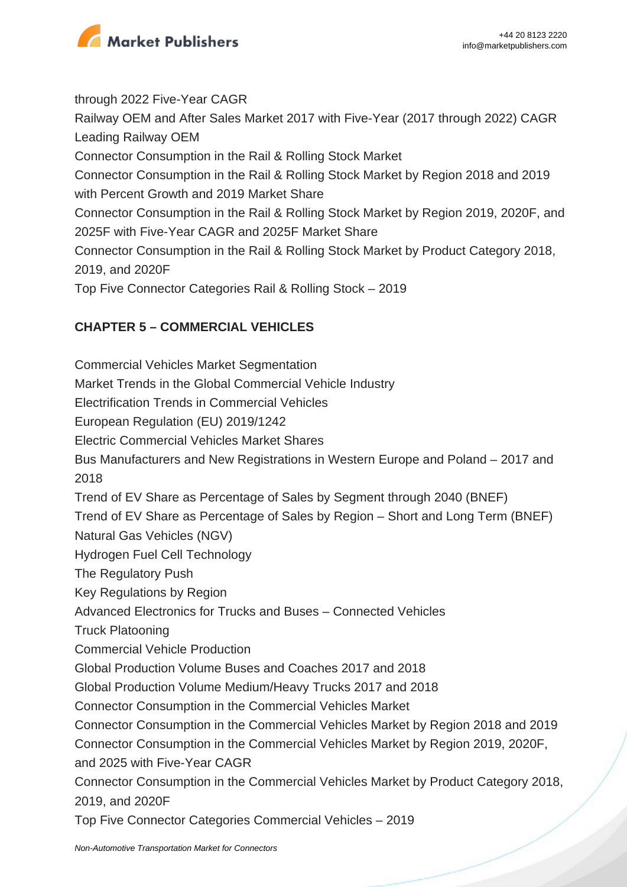

through 2022 Five-Year CAGR Railway OEM and After Sales Market 2017 with Five-Year (2017 through 2022) CAGR Leading Railway OEM Connector Consumption in the Rail & Rolling Stock Market Connector Consumption in the Rail & Rolling Stock Market by Region 2018 and 2019 with Percent Growth and 2019 Market Share Connector Consumption in the Rail & Rolling Stock Market by Region 2019, 2020F, and 2025F with Five-Year CAGR and 2025F Market Share Connector Consumption in the Rail & Rolling Stock Market by Product Category 2018, 2019, and 2020F Top Five Connector Categories Rail & Rolling Stock – 2019

## **CHAPTER 5 – COMMERCIAL VEHICLES**

Commercial Vehicles Market Segmentation Market Trends in the Global Commercial Vehicle Industry Electrification Trends in Commercial Vehicles European Regulation (EU) 2019/1242 Electric Commercial Vehicles Market Shares Bus Manufacturers and New Registrations in Western Europe and Poland – 2017 and 2018 Trend of EV Share as Percentage of Sales by Segment through 2040 (BNEF) Trend of EV Share as Percentage of Sales by Region – Short and Long Term (BNEF) Natural Gas Vehicles (NGV) Hydrogen Fuel Cell Technology The Regulatory Push Key Regulations by Region Advanced Electronics for Trucks and Buses – Connected Vehicles Truck Platooning Commercial Vehicle Production Global Production Volume Buses and Coaches 2017 and 2018 Global Production Volume Medium/Heavy Trucks 2017 and 2018 Connector Consumption in the Commercial Vehicles Market Connector Consumption in the Commercial Vehicles Market by Region 2018 and 2019 Connector Consumption in the Commercial Vehicles Market by Region 2019, 2020F, and 2025 with Five-Year CAGR Connector Consumption in the Commercial Vehicles Market by Product Category 2018, 2019, and 2020F Top Five Connector Categories Commercial Vehicles – 2019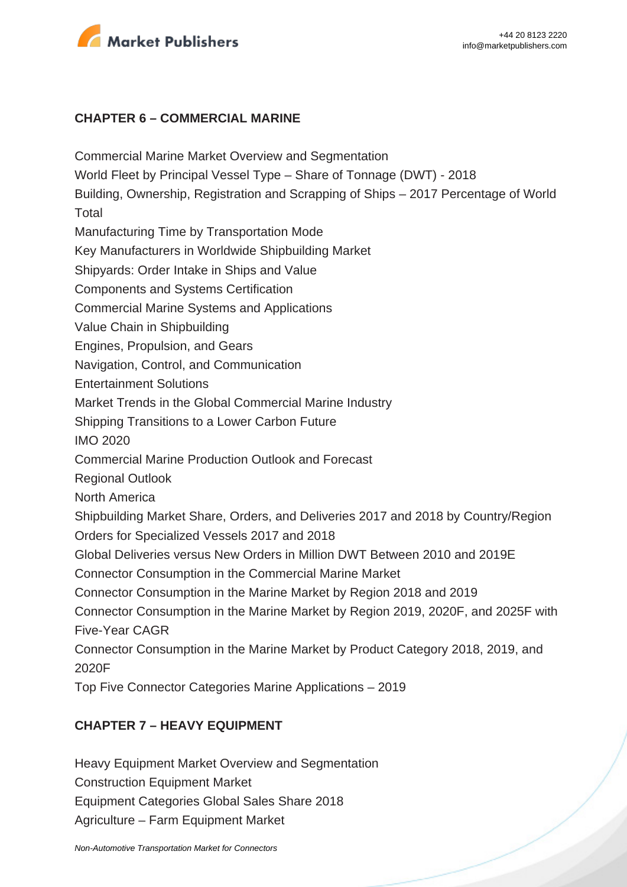

#### **CHAPTER 6 – COMMERCIAL MARINE**

Commercial Marine Market Overview and Segmentation World Fleet by Principal Vessel Type – Share of Tonnage (DWT) - 2018 Building, Ownership, Registration and Scrapping of Ships – 2017 Percentage of World Total Manufacturing Time by Transportation Mode Key Manufacturers in Worldwide Shipbuilding Market Shipyards: Order Intake in Ships and Value Components and Systems Certification Commercial Marine Systems and Applications Value Chain in Shipbuilding Engines, Propulsion, and Gears Navigation, Control, and Communication Entertainment Solutions Market Trends in the Global Commercial Marine Industry Shipping Transitions to a Lower Carbon Future IMO 2020 Commercial Marine Production Outlook and Forecast Regional Outlook North America Shipbuilding Market Share, Orders, and Deliveries 2017 and 2018 by Country/Region Orders for Specialized Vessels 2017 and 2018 Global Deliveries versus New Orders in Million DWT Between 2010 and 2019E Connector Consumption in the Commercial Marine Market Connector Consumption in the Marine Market by Region 2018 and 2019 Connector Consumption in the Marine Market by Region 2019, 2020F, and 2025F with Five-Year CAGR Connector Consumption in the Marine Market by Product Category 2018, 2019, and 2020F Top Five Connector Categories Marine Applications – 2019

#### **CHAPTER 7 – HEAVY EQUIPMENT**

Heavy Equipment Market Overview and Segmentation Construction Equipment Market

Equipment Categories Global Sales Share 2018

Agriculture – Farm Equipment Market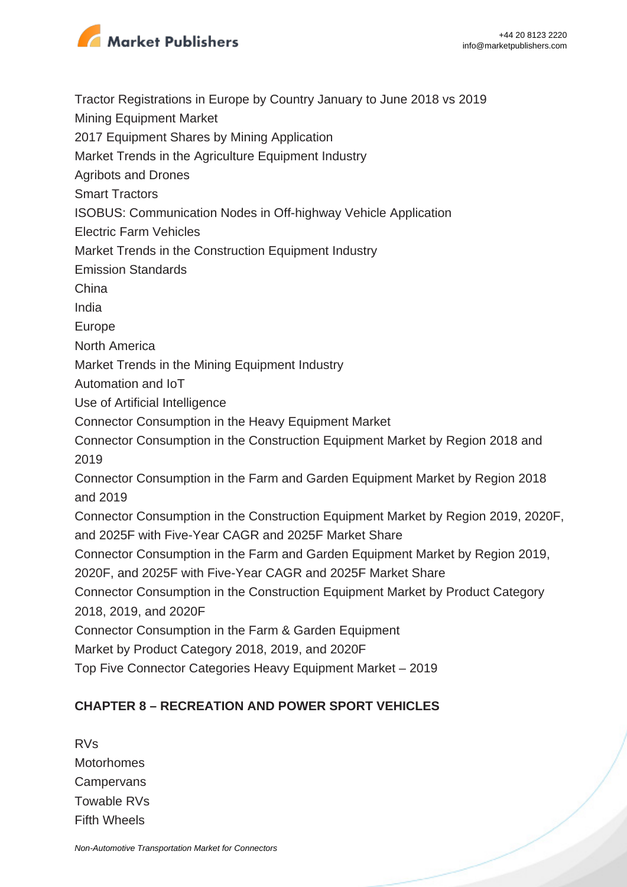

Tractor Registrations in Europe by Country January to June 2018 vs 2019

Mining Equipment Market

2017 Equipment Shares by Mining Application

Market Trends in the Agriculture Equipment Industry

Agribots and Drones

Smart Tractors

ISOBUS: Communication Nodes in Off-highway Vehicle Application

Electric Farm Vehicles

Market Trends in the Construction Equipment Industry

Emission Standards

China

India

Europe

North America

Market Trends in the Mining Equipment Industry

Automation and IoT

Use of Artificial Intelligence

Connector Consumption in the Heavy Equipment Market

Connector Consumption in the Construction Equipment Market by Region 2018 and 2019

Connector Consumption in the Farm and Garden Equipment Market by Region 2018 and 2019

Connector Consumption in the Construction Equipment Market by Region 2019, 2020F, and 2025F with Five-Year CAGR and 2025F Market Share

Connector Consumption in the Farm and Garden Equipment Market by Region 2019,

2020F, and 2025F with Five-Year CAGR and 2025F Market Share

Connector Consumption in the Construction Equipment Market by Product Category 2018, 2019, and 2020F

Connector Consumption in the Farm & Garden Equipment

Market by Product Category 2018, 2019, and 2020F

Top Five Connector Categories Heavy Equipment Market – 2019

# **CHAPTER 8 – RECREATION AND POWER SPORT VEHICLES**

RVs Motorhomes **Campervans** Towable RVs Fifth Wheels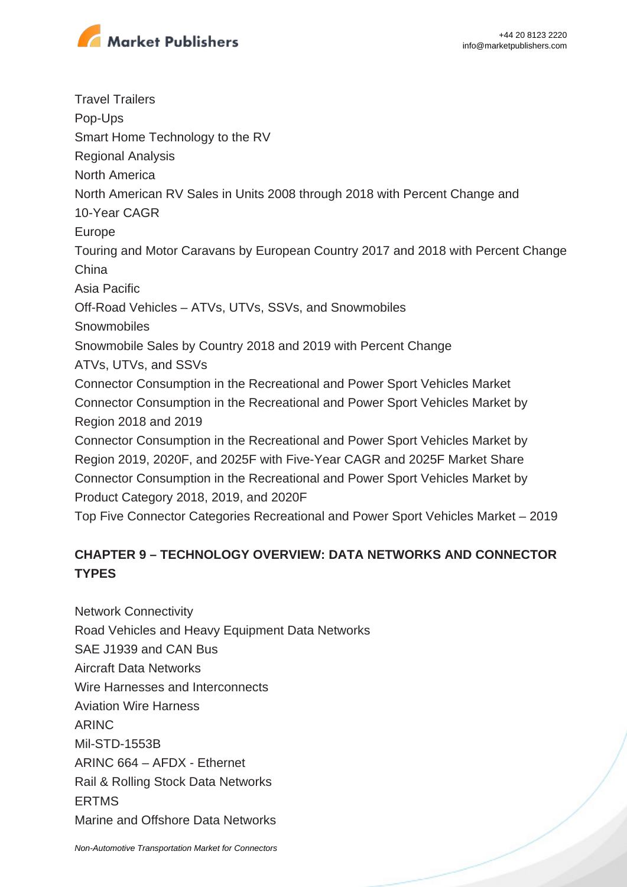

Travel Trailers Pop-Ups Smart Home Technology to the RV Regional Analysis North America North American RV Sales in Units 2008 through 2018 with Percent Change and 10-Year CAGR Europe Touring and Motor Caravans by European Country 2017 and 2018 with Percent Change China Asia Pacific Off-Road Vehicles – ATVs, UTVs, SSVs, and Snowmobiles **Snowmobiles** Snowmobile Sales by Country 2018 and 2019 with Percent Change ATVs, UTVs, and SSVs Connector Consumption in the Recreational and Power Sport Vehicles Market Connector Consumption in the Recreational and Power Sport Vehicles Market by Region 2018 and 2019 Connector Consumption in the Recreational and Power Sport Vehicles Market by Region 2019, 2020F, and 2025F with Five-Year CAGR and 2025F Market Share Connector Consumption in the Recreational and Power Sport Vehicles Market by Product Category 2018, 2019, and 2020F Top Five Connector Categories Recreational and Power Sport Vehicles Market – 2019

## **CHAPTER 9 – TECHNOLOGY OVERVIEW: DATA NETWORKS AND CONNECTOR TYPES**

Network Connectivity Road Vehicles and Heavy Equipment Data Networks SAE J1939 and CAN Bus Aircraft Data Networks Wire Harnesses and Interconnects Aviation Wire Harness ARINC Mil-STD-1553B ARINC 664 – AFDX - Ethernet Rail & Rolling Stock Data Networks ERTMS Marine and Offshore Data Networks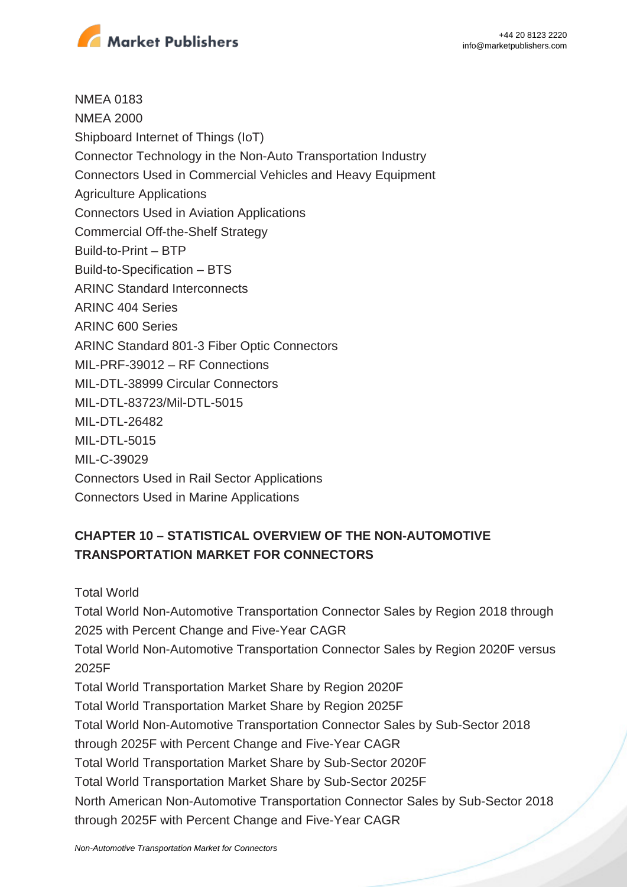

NMEA 0183 NMEA 2000 Shipboard Internet of Things (IoT) Connector Technology in the Non-Auto Transportation Industry Connectors Used in Commercial Vehicles and Heavy Equipment Agriculture Applications Connectors Used in Aviation Applications Commercial Off-the-Shelf Strategy Build-to-Print – BTP Build-to-Specification – BTS ARINC Standard Interconnects ARINC 404 Series ARINC 600 Series ARINC Standard 801-3 Fiber Optic Connectors MIL-PRF-39012 – RF Connections MIL-DTL-38999 Circular Connectors MIL-DTL-83723/Mil-DTL-5015 MIL-DTL-26482 MIL-DTL-5015 MIL-C-39029 Connectors Used in Rail Sector Applications Connectors Used in Marine Applications

## **CHAPTER 10 – STATISTICAL OVERVIEW OF THE NON-AUTOMOTIVE TRANSPORTATION MARKET FOR CONNECTORS**

Total World

Total World Non-Automotive Transportation Connector Sales by Region 2018 through 2025 with Percent Change and Five-Year CAGR

Total World Non-Automotive Transportation Connector Sales by Region 2020F versus 2025F

Total World Transportation Market Share by Region 2020F

Total World Transportation Market Share by Region 2025F

Total World Non-Automotive Transportation Connector Sales by Sub-Sector 2018

through 2025F with Percent Change and Five-Year CAGR

Total World Transportation Market Share by Sub-Sector 2020F

Total World Transportation Market Share by Sub-Sector 2025F

North American Non-Automotive Transportation Connector Sales by Sub-Sector 2018 through 2025F with Percent Change and Five-Year CAGR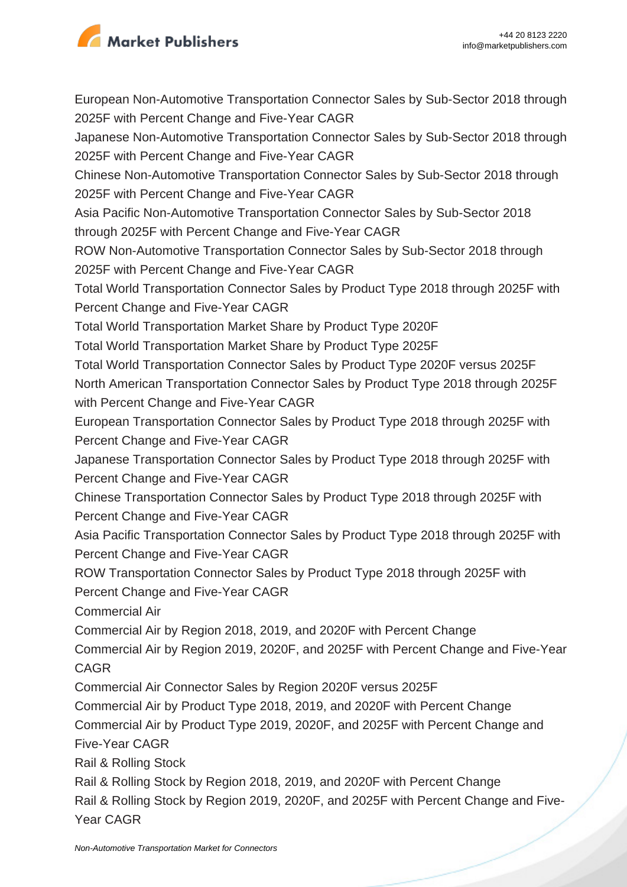

European Non-Automotive Transportation Connector Sales by Sub-Sector 2018 through 2025F with Percent Change and Five-Year CAGR Japanese Non-Automotive Transportation Connector Sales by Sub-Sector 2018 through 2025F with Percent Change and Five-Year CAGR Chinese Non-Automotive Transportation Connector Sales by Sub-Sector 2018 through 2025F with Percent Change and Five-Year CAGR Asia Pacific Non-Automotive Transportation Connector Sales by Sub-Sector 2018 through 2025F with Percent Change and Five-Year CAGR ROW Non-Automotive Transportation Connector Sales by Sub-Sector 2018 through 2025F with Percent Change and Five-Year CAGR Total World Transportation Connector Sales by Product Type 2018 through 2025F with Percent Change and Five-Year CAGR Total World Transportation Market Share by Product Type 2020F Total World Transportation Market Share by Product Type 2025F Total World Transportation Connector Sales by Product Type 2020F versus 2025F North American Transportation Connector Sales by Product Type 2018 through 2025F with Percent Change and Five-Year CAGR European Transportation Connector Sales by Product Type 2018 through 2025F with Percent Change and Five-Year CAGR Japanese Transportation Connector Sales by Product Type 2018 through 2025F with Percent Change and Five-Year CAGR Chinese Transportation Connector Sales by Product Type 2018 through 2025F with Percent Change and Five-Year CAGR Asia Pacific Transportation Connector Sales by Product Type 2018 through 2025F with Percent Change and Five-Year CAGR ROW Transportation Connector Sales by Product Type 2018 through 2025F with Percent Change and Five-Year CAGR Commercial Air Commercial Air by Region 2018, 2019, and 2020F with Percent Change Commercial Air by Region 2019, 2020F, and 2025F with Percent Change and Five-Year CAGR Commercial Air Connector Sales by Region 2020F versus 2025F Commercial Air by Product Type 2018, 2019, and 2020F with Percent Change Commercial Air by Product Type 2019, 2020F, and 2025F with Percent Change and Five-Year CAGR Rail & Rolling Stock Rail & Rolling Stock by Region 2018, 2019, and 2020F with Percent Change Rail & Rolling Stock by Region 2019, 2020F, and 2025F with Percent Change and Five-

Year CAGR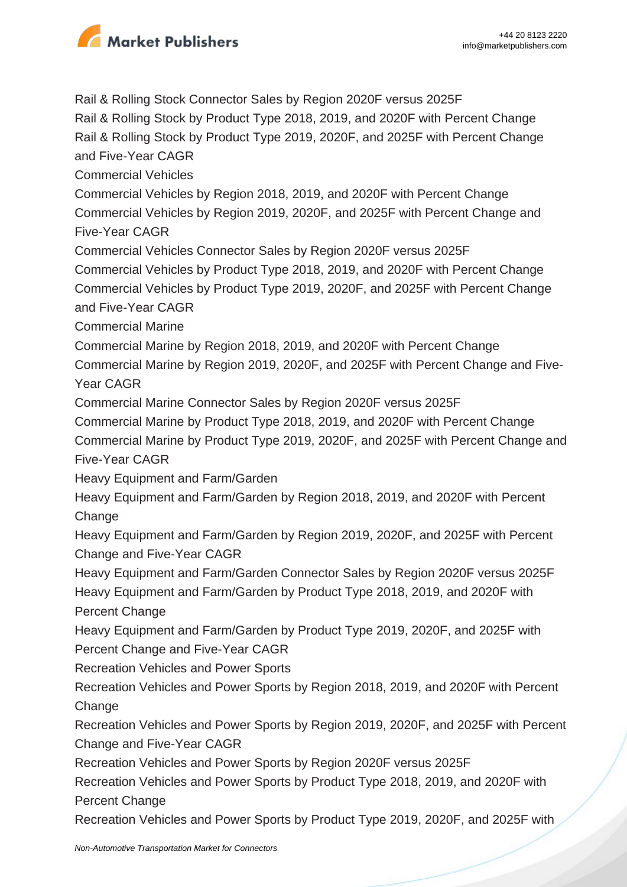

Rail & Rolling Stock Connector Sales by Region 2020F versus 2025F

Rail & Rolling Stock by Product Type 2018, 2019, and 2020F with Percent Change Rail & Rolling Stock by Product Type 2019, 2020F, and 2025F with Percent Change and Five-Year CAGR

Commercial Vehicles

Commercial Vehicles by Region 2018, 2019, and 2020F with Percent Change Commercial Vehicles by Region 2019, 2020F, and 2025F with Percent Change and Five-Year CAGR

Commercial Vehicles Connector Sales by Region 2020F versus 2025F

Commercial Vehicles by Product Type 2018, 2019, and 2020F with Percent Change Commercial Vehicles by Product Type 2019, 2020F, and 2025F with Percent Change and Five-Year CAGR

Commercial Marine

Commercial Marine by Region 2018, 2019, and 2020F with Percent Change

Commercial Marine by Region 2019, 2020F, and 2025F with Percent Change and Five-Year CAGR

Commercial Marine Connector Sales by Region 2020F versus 2025F

Commercial Marine by Product Type 2018, 2019, and 2020F with Percent Change

Commercial Marine by Product Type 2019, 2020F, and 2025F with Percent Change and Five-Year CAGR

Heavy Equipment and Farm/Garden

Heavy Equipment and Farm/Garden by Region 2018, 2019, and 2020F with Percent **Change** 

Heavy Equipment and Farm/Garden by Region 2019, 2020F, and 2025F with Percent Change and Five-Year CAGR

Heavy Equipment and Farm/Garden Connector Sales by Region 2020F versus 2025F Heavy Equipment and Farm/Garden by Product Type 2018, 2019, and 2020F with Percent Change

Heavy Equipment and Farm/Garden by Product Type 2019, 2020F, and 2025F with Percent Change and Five-Year CAGR

Recreation Vehicles and Power Sports

Recreation Vehicles and Power Sports by Region 2018, 2019, and 2020F with Percent **Change** 

Recreation Vehicles and Power Sports by Region 2019, 2020F, and 2025F with Percent Change and Five-Year CAGR

Recreation Vehicles and Power Sports by Region 2020F versus 2025F

Recreation Vehicles and Power Sports by Product Type 2018, 2019, and 2020F with Percent Change

Recreation Vehicles and Power Sports by Product Type 2019, 2020F, and 2025F with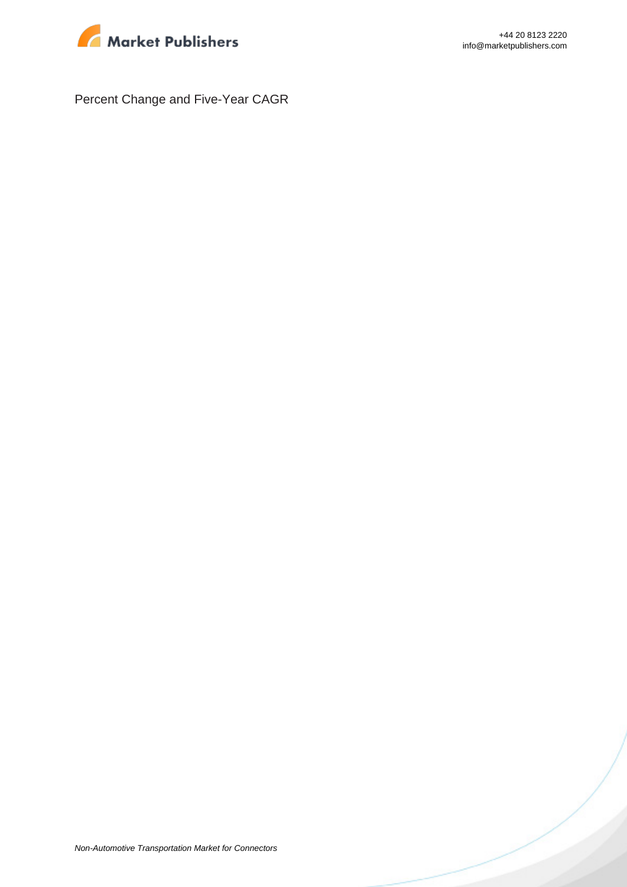

Percent Change and Five-Year CAGR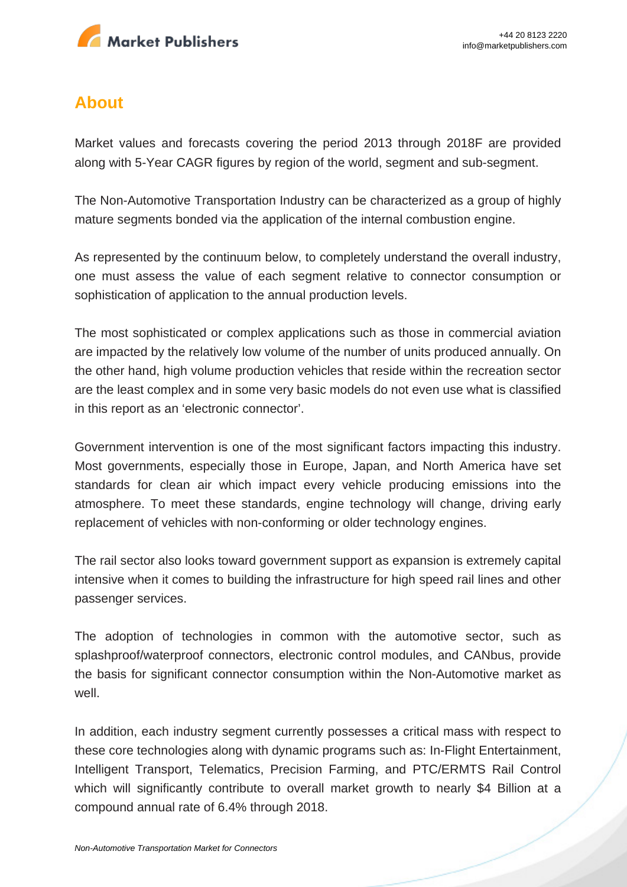

# **About**

Market values and forecasts covering the period 2013 through 2018F are provided along with 5-Year CAGR figures by region of the world, segment and sub-segment.

The Non-Automotive Transportation Industry can be characterized as a group of highly mature segments bonded via the application of the internal combustion engine.

As represented by the continuum below, to completely understand the overall industry, one must assess the value of each segment relative to connector consumption or sophistication of application to the annual production levels.

The most sophisticated or complex applications such as those in commercial aviation are impacted by the relatively low volume of the number of units produced annually. On the other hand, high volume production vehicles that reside within the recreation sector are the least complex and in some very basic models do not even use what is classified in this report as an 'electronic connector'.

Government intervention is one of the most significant factors impacting this industry. Most governments, especially those in Europe, Japan, and North America have set standards for clean air which impact every vehicle producing emissions into the atmosphere. To meet these standards, engine technology will change, driving early replacement of vehicles with non-conforming or older technology engines.

The rail sector also looks toward government support as expansion is extremely capital intensive when it comes to building the infrastructure for high speed rail lines and other passenger services.

The adoption of technologies in common with the automotive sector, such as splashproof/waterproof connectors, electronic control modules, and CANbus, provide the basis for significant connector consumption within the Non-Automotive market as well.

In addition, each industry segment currently possesses a critical mass with respect to these core technologies along with dynamic programs such as: In-Flight Entertainment, Intelligent Transport, Telematics, Precision Farming, and PTC/ERMTS Rail Control which will significantly contribute to overall market growth to nearly \$4 Billion at a compound annual rate of 6.4% through 2018.